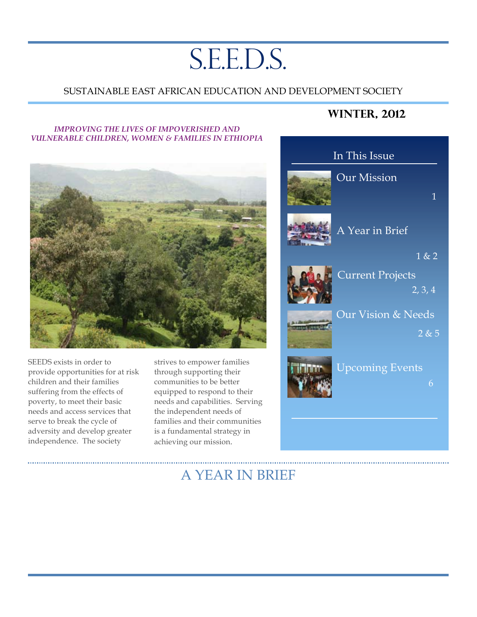# S.E.E.D.S.

## SUSTAINABLE EAST AFRICAN EDUCATION AND DEVELOPMENT SOCIETY

#### *IMPROVING THE LIVES OF IMPOVERISHED AND VULNERABLE CHILDREN, WOMEN & FAMILIES IN ETHIOPIA*



SEEDS exists in order to provide opportunities for at risk children and their families suffering from the effects of poverty, to meet their basic needs and access services that serve to break the cycle of adversity and develop greater independence. The society

strives to empower families through supporting their communities to be better equipped to respond to their needs and capabilities. Serving the independent needs of families and their communities is a fundamental strategy in achieving our mission.

## **Winter, 2012**



## A YEAR IN BRIEF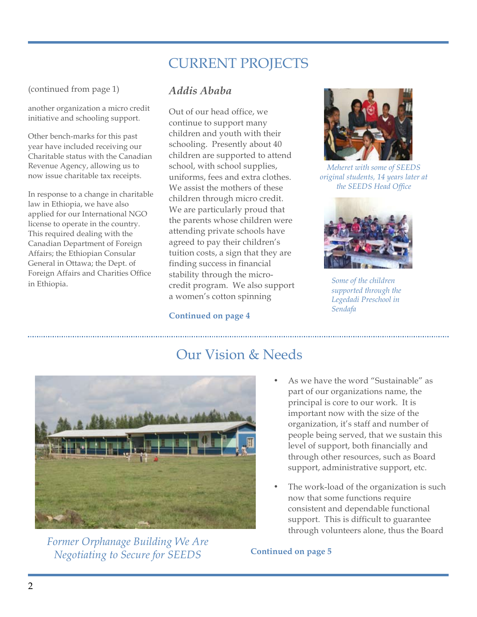## CURRENT PROJECTS

(continued from page 1)

another organization a micro credit initiative and schooling support.

Other bench-marks for this past year have included receiving our Charitable status with the Canadian Revenue Agency, allowing us to now issue charitable tax receipts.

In response to a change in charitable law in Ethiopia, we have also applied for our International NGO license to operate in the country. This required dealing with the Canadian Department of Foreign Affairs; the Ethiopian Consular General in Ottawa; the Dept. of Foreign Affairs and Charities Office in Ethiopia.

## *Addis Ababa*

Out of our head office, we continue to support many children and youth with their schooling. Presently about 40 children are supported to attend school, with school supplies, uniforms, fees and extra clothes. We assist the mothers of these children through micro credit. We are particularly proud that the parents whose children were attending private schools have agreed to pay their children's tuition costs, a sign that they are finding success in financial stability through the microcredit program. We also support a women's cotton spinning

## **Continued on page 4**



*Meheret with some of SEEDS original students, 14 years later at the SEEDS Head Office*



*Some of the children supported through the Legedadi Preschool in Sendafa*



*Former Orphanage Building We Are Negotiating to Secure for SEEDS*

## Our Vision & Needs

- As we have the word "Sustainable" as part of our organizations name, the principal is core to our work. It is important now with the size of the organization, it's staff and number of people being served, that we sustain this level of support, both financially and through other resources, such as Board support, administrative support, etc.
- The work-load of the organization is such now that some functions require consistent and dependable functional support. This is difficult to guarantee through volunteers alone, thus the Board

## **Continued on page 5**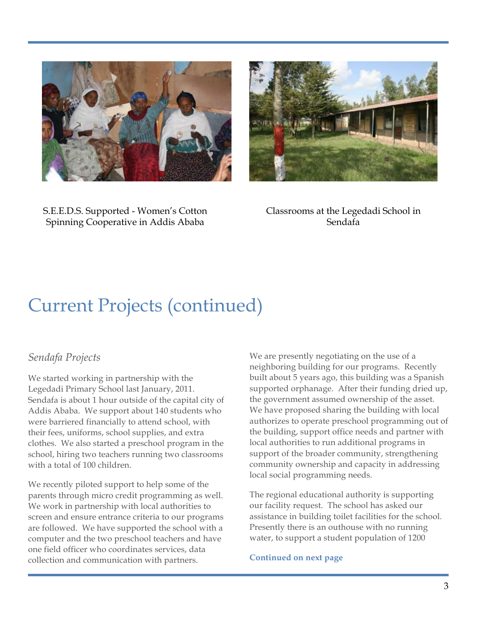



S.E.E.D.S. Supported - Women's Cotton Spinning Cooperative in Addis Ababa

Classrooms at the Legedadi School in Sendafa

## Current Projects (continued)

## *Sendafa Projects*

We started working in partnership with the Legedadi Primary School last January, 2011. Sendafa is about 1 hour outside of the capital city of Addis Ababa. We support about 140 students who were barriered financially to attend school, with their fees, uniforms, school supplies, and extra clothes. We also started a preschool program in the school, hiring two teachers running two classrooms with a total of 100 children.

We recently piloted support to help some of the parents through micro credit programming as well. We work in partnership with local authorities to screen and ensure entrance criteria to our programs are followed. We have supported the school with a computer and the two preschool teachers and have one field officer who coordinates services, data collection and communication with partners.

We are presently negotiating on the use of a neighboring building for our programs. Recently built about 5 years ago, this building was a Spanish supported orphanage. After their funding dried up, the government assumed ownership of the asset. We have proposed sharing the building with local authorizes to operate preschool programming out of the building, support office needs and partner with local authorities to run additional programs in support of the broader community, strengthening community ownership and capacity in addressing local social programming needs.

The regional educational authority is supporting our facility request. The school has asked our assistance in building toilet facilities for the school. Presently there is an outhouse with no running water, to support a student population of 1200

**Continued on next page**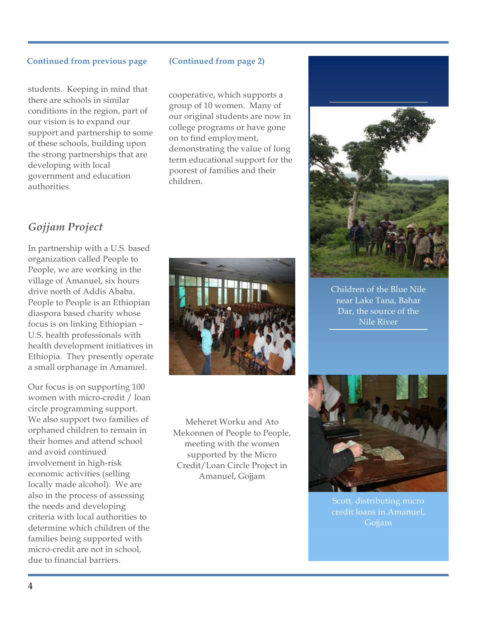### **Continued from previous page (Continued from page 2)**

students. Keeping in mind that there are schools in similar conditions in the region, part of our vision is to expand our support and partnership to some of these schools, building upon the strong partnerships that are developing with local government and education authorities.

cooperative, which supports a group of 10 women. Many of our original students are now in college programs or have gone on to find employment, demonstrating the value of long term educational support for the poorest of families and their children.

## *Gojjam Project*

In partnership with a U.S. based organization called People to People, we are working in the village of Amanuel, six hours drive north of Addis Ababa. People to People is an Ethiopian diaspora based charity whose focus is on linking Ethiopian – U.S. health professionals with health development initiatives in Ethiopia. They presently operate a small orphanage in Amanuel.

Our focus is on supporting 100 women with micro-credit / loan circle programming support. We also support two families of orphaned children to remain in their homes and attend school and avoid continued involvement in high-risk economic activities (selling locally made alcohol). We are also in the process of assessing the needs and developing criteria with local authorities to determine which children of the families being supported with micro-credit are not in school, due to financial barriers.



Meheret Worku and Ato Mekonnen of People to People, meeting with the women supported by the Micro Credit/Loan Circle Project in Amanuel, Gojjam



Children of the Blue Nile near Lake Tana, Bahar Dar, the source of the Nile River



Scott, distributing micro credit loans in Amanuel, Gojjam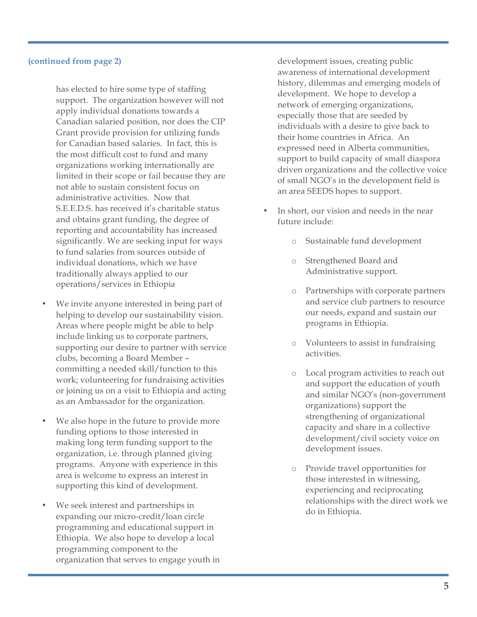#### **(continued from page 2)**

has elected to hire some type of staffing support. The organization however will not apply individual donations towards a Canadian salaried position, nor does the CIP Grant provide provision for utilizing funds for Canadian based salaries. In fact, this is the most difficult cost to fund and many organizations working internationally are limited in their scope or fail because they are not able to sustain consistent focus on administrative activities. Now that S.E.E.D.S. has received it's charitable status and obtains grant funding, the degree of reporting and accountability has increased significantly. We are seeking input for ways to fund salaries from sources outside of individual donations, which we have traditionally always applied to our operations/services in Ethiopia

- We invite anyone interested in being part of helping to develop our sustainability vision. Areas where people might be able to help include linking us to corporate partners, supporting our desire to partner with service clubs, becoming a Board Member – committing a needed skill/function to this work; volunteering for fundraising activities or joining us on a visit to Ethiopia and acting as an Ambassador for the organization.
- We also hope in the future to provide more funding options to those interested in making long term funding support to the organization, i.e. through planned giving programs. Anyone with experience in this area is welcome to express an interest in supporting this kind of development.
- We seek interest and partnerships in expanding our micro-credit/loan circle programming and educational support in Ethiopia. We also hope to develop a local programming component to the organization that serves to engage youth in

development issues, creating public awareness of international development history, dilemmas and emerging models of development. We hope to develop a network of emerging organizations, especially those that are seeded by individuals with a desire to give back to their home countries in Africa. An expressed need in Alberta communities, support to build capacity of small diaspora driven organizations and the collective voice of small NGO's in the development field is an area SEEDS hopes to support.

- In short, our vision and needs in the near future include:
	- o Sustainable fund development
	- Strengthened Board and Administrative support.
	- o Partnerships with corporate partners and service club partners to resource our needs, expand and sustain our programs in Ethiopia.
	- o Volunteers to assist in fundraising activities.
	- o Local program activities to reach out and support the education of youth and similar NGO's (non-government organizations) support the strengthening of organizational capacity and share in a collective development/civil society voice on development issues.
	- Provide travel opportunities for those interested in witnessing, experiencing and reciprocating relationships with the direct work we do in Ethiopia.